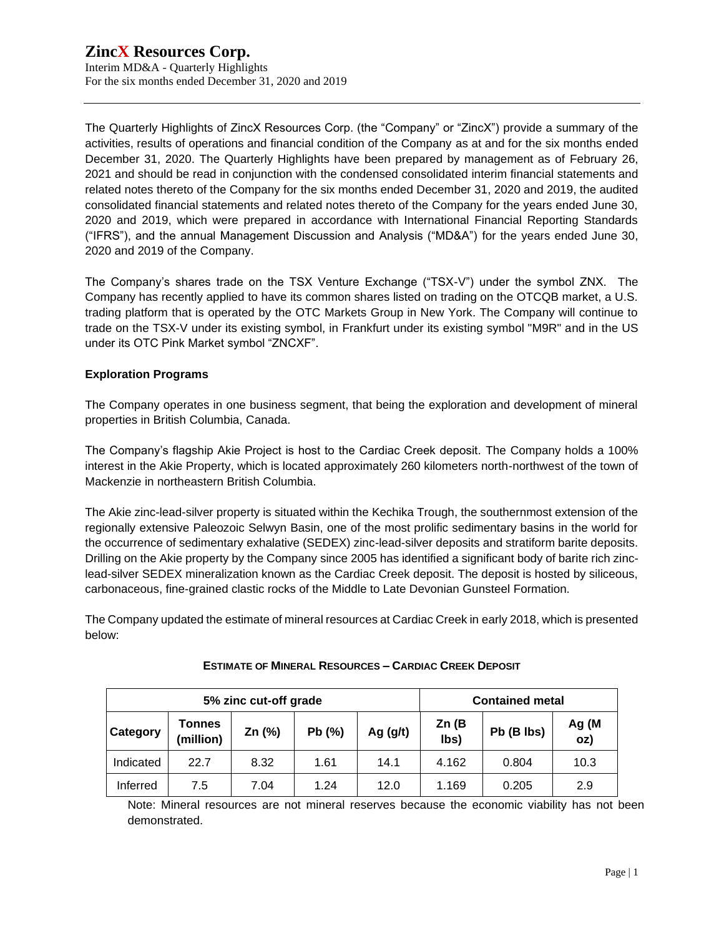Interim MD&A - Quarterly Highlights For the six months ended December 31, 2020 and 2019

The Quarterly Highlights of ZincX Resources Corp. (the "Company" or "ZincX") provide a summary of the activities, results of operations and financial condition of the Company as at and for the six months ended December 31, 2020. The Quarterly Highlights have been prepared by management as of February 26, 2021 and should be read in conjunction with the condensed consolidated interim financial statements and related notes thereto of the Company for the six months ended December 31, 2020 and 2019, the audited consolidated financial statements and related notes thereto of the Company for the years ended June 30, 2020 and 2019, which were prepared in accordance with International Financial Reporting Standards ("IFRS"), and the annual Management Discussion and Analysis ("MD&A") for the years ended June 30, 2020 and 2019 of the Company.

The Company's shares trade on the TSX Venture Exchange ("TSX-V") under the symbol ZNX. The Company has recently applied to have its common shares listed on trading on the OTCQB market, a U.S. trading platform that is operated by the OTC Markets Group in New York. The Company will continue to trade on the TSX-V under its existing symbol, in Frankfurt under its existing symbol "M9R" and in the US under its OTC Pink Market symbol "ZNCXF".

# **Exploration Programs**

The Company operates in one business segment, that being the exploration and development of mineral properties in British Columbia, Canada.

The Company's flagship Akie Project is host to the Cardiac Creek deposit. The Company holds a 100% interest in the Akie Property, which is located approximately 260 kilometers north-northwest of the town of Mackenzie in northeastern British Columbia.

The Akie zinc-lead-silver property is situated within the Kechika Trough, the southernmost extension of the regionally extensive Paleozoic Selwyn Basin, one of the most prolific sedimentary basins in the world for the occurrence of sedimentary exhalative (SEDEX) zinc-lead-silver deposits and stratiform barite deposits. Drilling on the Akie property by the Company since 2005 has identified a significant body of barite rich zinclead-silver SEDEX mineralization known as the Cardiac Creek deposit. The deposit is hosted by siliceous, carbonaceous, fine-grained clastic rocks of the Middle to Late Devonian Gunsteel Formation.

The Company updated the estimate of mineral resources at Cardiac Creek in early 2018, which is presented below:

| 5% zinc cut-off grade |                     |        |        |            | <b>Contained metal</b> |            |              |  |
|-----------------------|---------------------|--------|--------|------------|------------------------|------------|--------------|--|
| Category              | Tonnes<br>(million) | Zn (%) | Pb (%) | Ag $(g/t)$ | Zn(B)<br>lbs)          | Pb (B lbs) | Ag (M<br>oz) |  |
| Indicated             | 22.7                | 8.32   | 1.61   | 14.1       | 4.162                  | 0.804      | 10.3         |  |
| Inferred              | 7.5                 | 7.04   | 1.24   | 12.0       | 1.169                  | 0.205      | 2.9          |  |

# **ESTIMATE OF MINERAL RESOURCES – CARDIAC CREEK DEPOSIT**

Note: Mineral resources are not mineral reserves because the economic viability has not been demonstrated.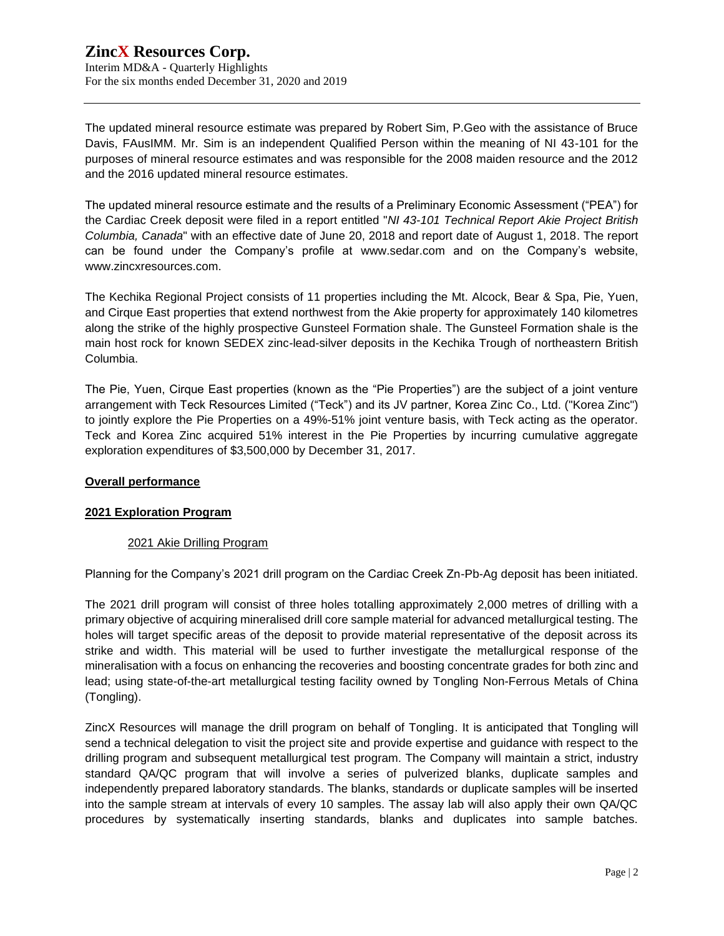The updated mineral resource estimate was prepared by Robert Sim, P.Geo with the assistance of Bruce Davis, FAusIMM. Mr. Sim is an independent Qualified Person within the meaning of NI 43-101 for the purposes of mineral resource estimates and was responsible for the 2008 maiden resource and the 2012 and the 2016 updated mineral resource estimates.

The updated mineral resource estimate and the results of a Preliminary Economic Assessment ("PEA") for the Cardiac Creek deposit were filed in a report entitled "*NI 43-101 Technical Report Akie Project British Columbia, Canada*" with an effective date of June 20, 2018 and report date of August 1, 2018. The report can be found under the Company's profile at [www.sedar.com](http://www.sedar.com/) and on the Company's website, www.zincxresources.com.

The Kechika Regional Project consists of 11 properties including the Mt. Alcock, Bear & Spa, Pie, Yuen, and Cirque East properties that extend northwest from the Akie property for approximately 140 kilometres along the strike of the highly prospective Gunsteel Formation shale. The Gunsteel Formation shale is the main host rock for known SEDEX zinc-lead-silver deposits in the Kechika Trough of northeastern British Columbia.

The Pie, Yuen, Cirque East properties (known as the "Pie Properties") are the subject of a joint venture arrangement with Teck Resources Limited ("Teck") and its JV partner, Korea Zinc Co., Ltd. ("Korea Zinc") to jointly explore the Pie Properties on a 49%-51% joint venture basis, with Teck acting as the operator. Teck and Korea Zinc acquired 51% interest in the Pie Properties by incurring cumulative aggregate exploration expenditures of \$3,500,000 by December 31, 2017.

# **Overall performance**

#### **2021 Exploration Program**

#### 2021 Akie Drilling Program

Planning for the Company's 2021 drill program on the Cardiac Creek Zn-Pb-Ag deposit has been initiated.

The 2021 drill program will consist of three holes totalling approximately 2,000 metres of drilling with a primary objective of acquiring mineralised drill core sample material for advanced metallurgical testing. The holes will target specific areas of the deposit to provide material representative of the deposit across its strike and width. This material will be used to further investigate the metallurgical response of the mineralisation with a focus on enhancing the recoveries and boosting concentrate grades for both zinc and lead; using state-of-the-art metallurgical testing facility owned by Tongling Non-Ferrous Metals of China (Tongling).

ZincX Resources will manage the drill program on behalf of Tongling. It is anticipated that Tongling will send a technical delegation to visit the project site and provide expertise and guidance with respect to the drilling program and subsequent metallurgical test program. The Company will maintain a strict, industry standard QA/QC program that will involve a series of pulverized blanks, duplicate samples and independently prepared laboratory standards. The blanks, standards or duplicate samples will be inserted into the sample stream at intervals of every 10 samples. The assay lab will also apply their own QA/QC procedures by systematically inserting standards, blanks and duplicates into sample batches.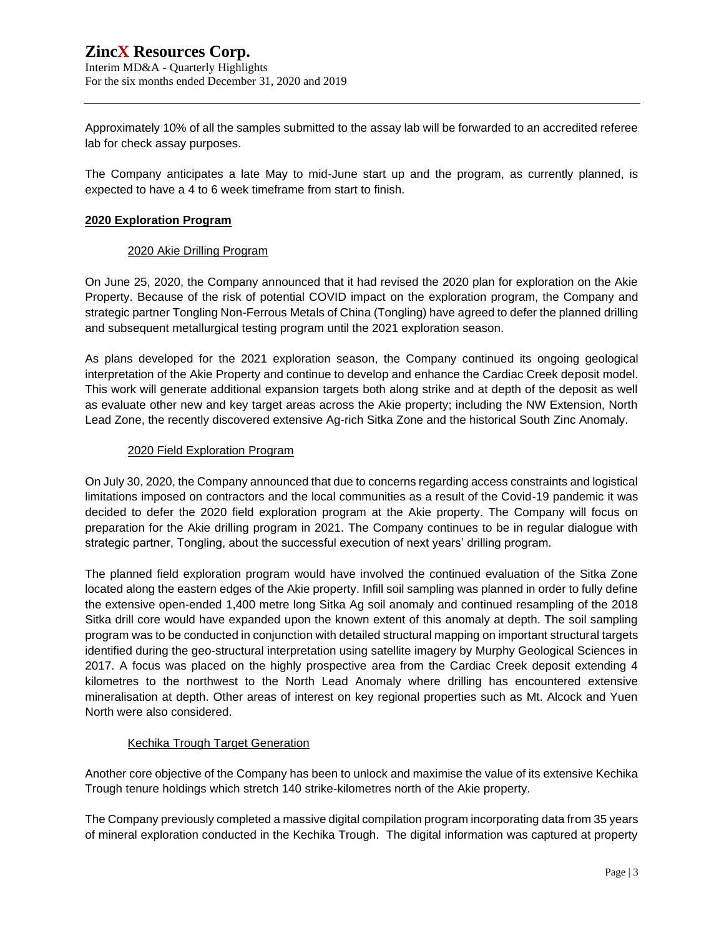Interim MD&A - Quarterly Highlights For the six months ended December 31, 2020 and 2019

Approximately 10% of all the samples submitted to the assay lab will be forwarded to an accredited referee lab for check assay purposes.

The Company anticipates a late May to mid-June start up and the program, as currently planned, is expected to have a 4 to 6 week timeframe from start to finish.

## **2020 Exploration Program**

## 2020 Akie Drilling Program

On June 25, 2020, the Company announced that it had revised the 2020 plan for exploration on the Akie Property. Because of the risk of potential COVID impact on the exploration program, the Company and strategic partner Tongling Non-Ferrous Metals of China (Tongling) have agreed to defer the planned drilling and subsequent metallurgical testing program until the 2021 exploration season.

As plans developed for the 2021 exploration season, the Company continued its ongoing geological interpretation of the Akie Property and continue to develop and enhance the Cardiac Creek deposit model. This work will generate additional expansion targets both along strike and at depth of the deposit as well as evaluate other new and key target areas across the Akie property; including the NW Extension, North Lead Zone, the recently discovered extensive Ag-rich Sitka Zone and the historical South Zinc Anomaly.

## 2020 Field Exploration Program

On July 30, 2020, the Company announced that due to concerns regarding access constraints and logistical limitations imposed on contractors and the local communities as a result of the Covid-19 pandemic it was decided to defer the 2020 field exploration program at the Akie property. The Company will focus on preparation for the Akie drilling program in 2021. The Company continues to be in regular dialogue with strategic partner, Tongling, about the successful execution of next years' drilling program.

The planned field exploration program would have involved the continued evaluation of the Sitka Zone located along the eastern edges of the Akie property. Infill soil sampling was planned in order to fully define the extensive open-ended 1,400 metre long Sitka Ag soil anomaly and continued resampling of the 2018 Sitka drill core would have expanded upon the known extent of this anomaly at depth. The soil sampling program was to be conducted in conjunction with detailed structural mapping on important structural targets identified during the geo-structural interpretation using satellite imagery by Murphy Geological Sciences in 2017. A focus was placed on the highly prospective area from the Cardiac Creek deposit extending 4 kilometres to the northwest to the North Lead Anomaly where drilling has encountered extensive mineralisation at depth. Other areas of interest on key regional properties such as Mt. Alcock and Yuen North were also considered.

# Kechika Trough Target Generation

Another core objective of the Company has been to unlock and maximise the value of its extensive Kechika Trough tenure holdings which stretch 140 strike-kilometres north of the Akie property.

The Company previously completed a massive digital compilation program incorporating data from 35 years of mineral exploration conducted in the Kechika Trough. The digital information was captured at property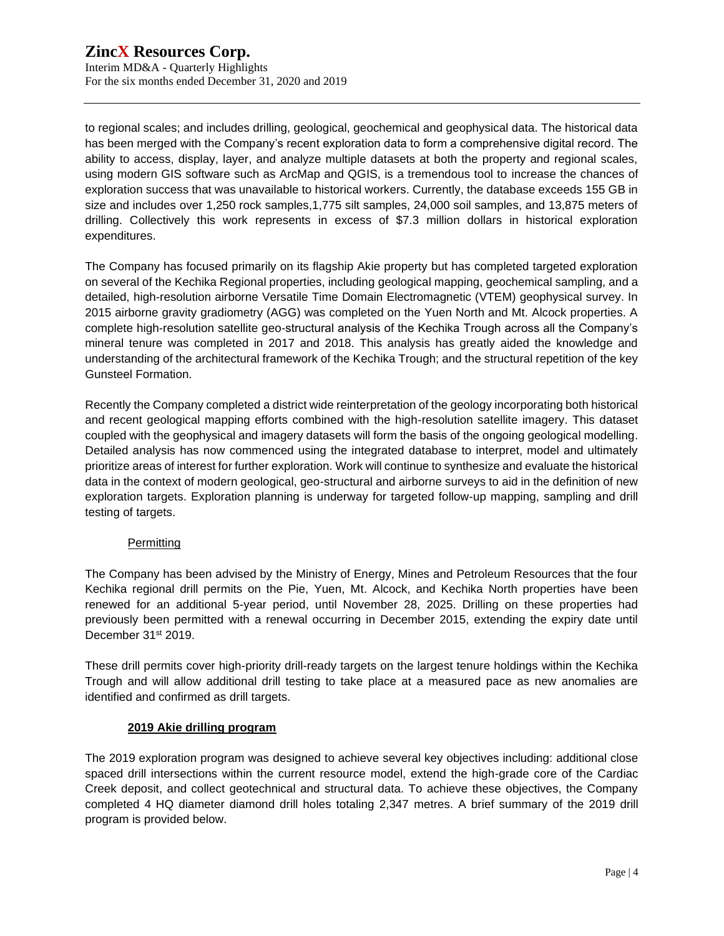to regional scales; and includes drilling, geological, geochemical and geophysical data. The historical data has been merged with the Company's recent exploration data to form a comprehensive digital record. The ability to access, display, layer, and analyze multiple datasets at both the property and regional scales, using modern GIS software such as ArcMap and QGIS, is a tremendous tool to increase the chances of exploration success that was unavailable to historical workers. Currently, the database exceeds 155 GB in size and includes over 1,250 rock samples,1,775 silt samples, 24,000 soil samples, and 13,875 meters of drilling. Collectively this work represents in excess of \$7.3 million dollars in historical exploration expenditures.

The Company has focused primarily on its flagship Akie property but has completed targeted exploration on several of the Kechika Regional properties, including geological mapping, geochemical sampling, and a detailed, high-resolution airborne Versatile Time Domain Electromagnetic (VTEM) geophysical survey. In 2015 airborne gravity gradiometry (AGG) was completed on the Yuen North and Mt. Alcock properties. A complete high-resolution satellite geo-structural analysis of the Kechika Trough across all the Company's mineral tenure was completed in 2017 and 2018. This analysis has greatly aided the knowledge and understanding of the architectural framework of the Kechika Trough; and the structural repetition of the key Gunsteel Formation.

Recently the Company completed a district wide reinterpretation of the geology incorporating both historical and recent geological mapping efforts combined with the high-resolution satellite imagery. This dataset coupled with the geophysical and imagery datasets will form the basis of the ongoing geological modelling. Detailed analysis has now commenced using the integrated database to interpret, model and ultimately prioritize areas of interest for further exploration. Work will continue to synthesize and evaluate the historical data in the context of modern geological, geo-structural and airborne surveys to aid in the definition of new exploration targets. Exploration planning is underway for targeted follow-up mapping, sampling and drill testing of targets.

# **Permitting**

The Company has been advised by the Ministry of Energy, Mines and Petroleum Resources that the four Kechika regional drill permits on the Pie, Yuen, Mt. Alcock, and Kechika North properties have been renewed for an additional 5-year period, until November 28, 2025. Drilling on these properties had previously been permitted with a renewal occurring in December 2015, extending the expiry date until December 31<sup>st</sup> 2019.

These drill permits cover high-priority drill-ready targets on the largest tenure holdings within the Kechika Trough and will allow additional drill testing to take place at a measured pace as new anomalies are identified and confirmed as drill targets.

# **2019 Akie drilling program**

The 2019 exploration program was designed to achieve several key objectives including: additional close spaced drill intersections within the current resource model, extend the high-grade core of the Cardiac Creek deposit, and collect geotechnical and structural data. To achieve these objectives, the Company completed 4 HQ diameter diamond drill holes totaling 2,347 metres. A brief summary of the 2019 drill program is provided below.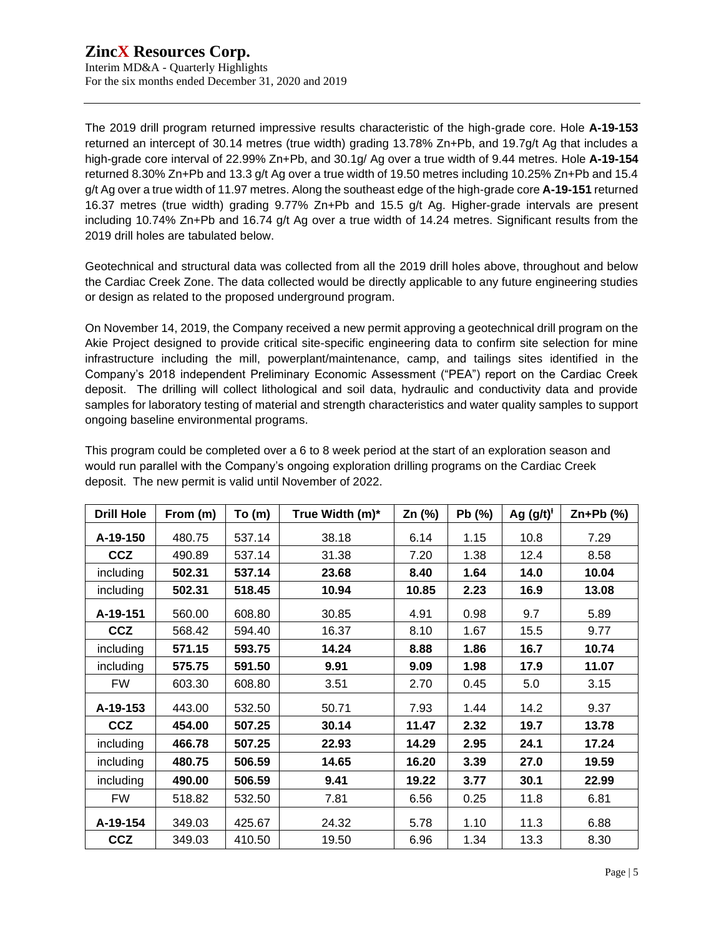The 2019 drill program returned impressive results characteristic of the high-grade core. Hole **A-19-153** returned an intercept of 30.14 metres (true width) grading 13.78% Zn+Pb, and 19.7g/t Ag that includes a high-grade core interval of 22.99% Zn+Pb, and 30.1g/ Ag over a true width of 9.44 metres. Hole **A-19-154** returned 8.30% Zn+Pb and 13.3 g/t Ag over a true width of 19.50 metres including 10.25% Zn+Pb and 15.4 g/t Ag over a true width of 11.97 metres. Along the southeast edge of the high-grade core **A-19-151** returned 16.37 metres (true width) grading 9.77% Zn+Pb and 15.5 g/t Ag. Higher-grade intervals are present including 10.74% Zn+Pb and 16.74 g/t Ag over a true width of 14.24 metres. Significant results from the 2019 drill holes are tabulated below.

Geotechnical and structural data was collected from all the 2019 drill holes above, throughout and below the Cardiac Creek Zone. The data collected would be directly applicable to any future engineering studies or design as related to the proposed underground program.

On November 14, 2019, the Company received a new permit approving a geotechnical drill program on the Akie Project designed to provide critical site-specific engineering data to confirm site selection for mine infrastructure including the mill, powerplant/maintenance, camp, and tailings sites identified in the Company's 2018 independent Preliminary Economic Assessment ("PEA") report on the Cardiac Creek deposit. The drilling will collect lithological and soil data, hydraulic and conductivity data and provide samples for laboratory testing of material and strength characteristics and water quality samples to support ongoing baseline environmental programs.

| <b>Drill Hole</b> | From (m) | To(m)  | True Width (m)* | Zn (%) | Pb (%) | Ag $(g/t)^{t}$ | $Zn+Pb$ (%) |
|-------------------|----------|--------|-----------------|--------|--------|----------------|-------------|
| A-19-150          | 480.75   | 537.14 | 38.18           | 6.14   | 1.15   | 10.8           | 7.29        |
| <b>CCZ</b>        | 490.89   | 537.14 | 31.38           | 7.20   | 1.38   | 12.4           | 8.58        |
| including         | 502.31   | 537.14 | 23.68           | 8.40   | 1.64   | 14.0           | 10.04       |
| including         | 502.31   | 518.45 | 10.94           | 10.85  | 2.23   | 16.9           | 13.08       |
| A-19-151          | 560.00   | 608.80 | 30.85           | 4.91   | 0.98   | 9.7            | 5.89        |
| <b>CCZ</b>        | 568.42   | 594.40 | 16.37           | 8.10   | 1.67   | 15.5           | 9.77        |
| including         | 571.15   | 593.75 | 14.24           | 8.88   | 1.86   | 16.7           | 10.74       |
| including         | 575.75   | 591.50 | 9.91            | 9.09   | 1.98   | 17.9           | 11.07       |
| <b>FW</b>         | 603.30   | 608.80 | 3.51            | 2.70   | 0.45   | 5.0            | 3.15        |
| A-19-153          | 443.00   | 532.50 | 50.71           | 7.93   | 1.44   | 14.2           | 9.37        |
| <b>CCZ</b>        | 454.00   | 507.25 | 30.14           | 11.47  | 2.32   | 19.7           | 13.78       |
| including         | 466.78   | 507.25 | 22.93           | 14.29  | 2.95   | 24.1           | 17.24       |
| including         | 480.75   | 506.59 | 14.65           | 16.20  | 3.39   | 27.0           | 19.59       |
| including         | 490.00   | 506.59 | 9.41            | 19.22  | 3.77   | 30.1           | 22.99       |
| FW                | 518.82   | 532.50 | 7.81            | 6.56   | 0.25   | 11.8           | 6.81        |
| A-19-154          | 349.03   | 425.67 | 24.32           | 5.78   | 1.10   | 11.3           | 6.88        |
| <b>CCZ</b>        | 349.03   | 410.50 | 19.50           | 6.96   | 1.34   | 13.3           | 8.30        |

This program could be completed over a 6 to 8 week period at the start of an exploration season and would run parallel with the Company's ongoing exploration drilling programs on the Cardiac Creek deposit. The new permit is valid until November of 2022.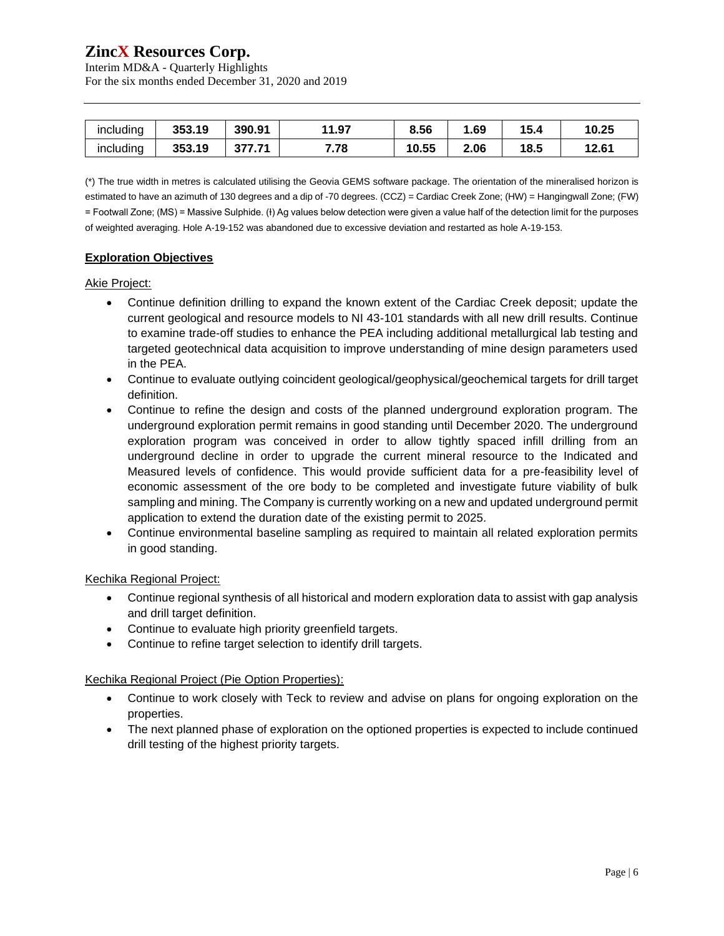Interim MD&A - Quarterly Highlights For the six months ended December 31, 2020 and 2019

| $\cdots$<br><b>Including</b> | 353.19 | 390.91 | 1.97           | 8.56  | .69  | 15.4 | 10.25 |
|------------------------------|--------|--------|----------------|-------|------|------|-------|
| $\cdots$<br><b>Including</b> | 353.19 | vı.    | 770<br>. . 1 0 | 10.55 | 2.06 | 18.5 | 12.61 |

(\*) The true width in metres is calculated utilising the Geovia GEMS software package. The orientation of the mineralised horizon is estimated to have an azimuth of 130 degrees and a dip of -70 degrees. (CCZ) = Cardiac Creek Zone; (HW) = Hangingwall Zone; (FW) = Footwall Zone; (MS) = Massive Sulphide. (Ɨ) Ag values below detection were given a value half of the detection limit for the purposes of weighted averaging. Hole A-19-152 was abandoned due to excessive deviation and restarted as hole A-19-153.

# **Exploration Objectives**

## Akie Project:

- Continue definition drilling to expand the known extent of the Cardiac Creek deposit; update the current geological and resource models to NI 43-101 standards with all new drill results. Continue to examine trade-off studies to enhance the PEA including additional metallurgical lab testing and targeted geotechnical data acquisition to improve understanding of mine design parameters used in the PEA.
- Continue to evaluate outlying coincident geological/geophysical/geochemical targets for drill target definition.
- Continue to refine the design and costs of the planned underground exploration program. The underground exploration permit remains in good standing until December 2020. The underground exploration program was conceived in order to allow tightly spaced infill drilling from an underground decline in order to upgrade the current mineral resource to the Indicated and Measured levels of confidence. This would provide sufficient data for a pre-feasibility level of economic assessment of the ore body to be completed and investigate future viability of bulk sampling and mining. The Company is currently working on a new and updated underground permit application to extend the duration date of the existing permit to 2025.
- Continue environmental baseline sampling as required to maintain all related exploration permits in good standing.

# Kechika Regional Project:

- Continue regional synthesis of all historical and modern exploration data to assist with gap analysis and drill target definition.
- Continue to evaluate high priority greenfield targets.
- Continue to refine target selection to identify drill targets.

# Kechika Regional Project (Pie Option Properties):

- Continue to work closely with Teck to review and advise on plans for ongoing exploration on the properties.
- The next planned phase of exploration on the optioned properties is expected to include continued drill testing of the highest priority targets.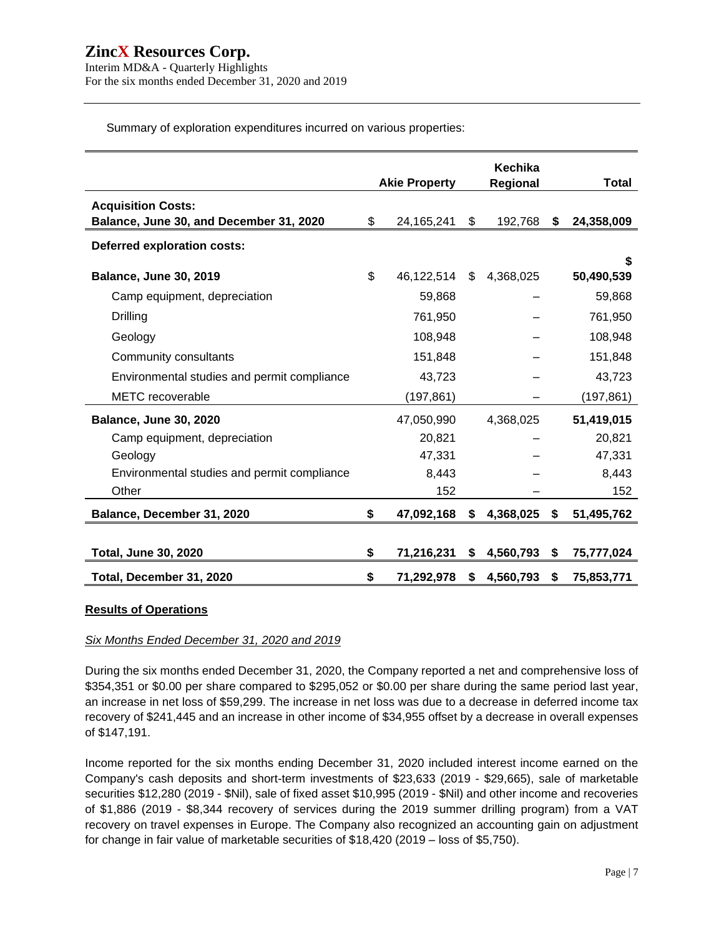Interim MD&A - Quarterly Highlights For the six months ended December 31, 2020 and 2019

Summary of exploration expenditures incurred on various properties:

|                                             |                      | Kechika         |    |                 |
|---------------------------------------------|----------------------|-----------------|----|-----------------|
|                                             | <b>Akie Property</b> | Regional        |    | Total           |
| <b>Acquisition Costs:</b>                   |                      |                 |    |                 |
| Balance, June 30, and December 31, 2020     | \$<br>24, 165, 241   | \$<br>192,768   | S. | 24,358,009      |
| Deferred exploration costs:                 |                      |                 |    |                 |
| <b>Balance, June 30, 2019</b>               | \$<br>46,122,514     | \$<br>4,368,025 |    | S<br>50,490,539 |
| Camp equipment, depreciation                | 59,868               |                 |    | 59,868          |
| Drilling                                    | 761,950              |                 |    | 761,950         |
| Geology                                     | 108,948              |                 |    | 108,948         |
| Community consultants                       | 151,848              |                 |    | 151,848         |
| Environmental studies and permit compliance | 43,723               |                 |    | 43,723          |
| <b>METC</b> recoverable                     | (197, 861)           |                 |    | (197,861)       |
| <b>Balance, June 30, 2020</b>               | 47,050,990           | 4,368,025       |    | 51,419,015      |
| Camp equipment, depreciation                | 20,821               |                 |    | 20,821          |
| Geology                                     | 47,331               |                 |    | 47,331          |
| Environmental studies and permit compliance | 8,443                |                 |    | 8,443           |
| Other                                       | 152                  |                 |    | 152             |
| Balance, December 31, 2020                  | \$<br>47,092,168     | \$<br>4,368,025 | \$ | 51,495,762      |
| <b>Total, June 30, 2020</b>                 | \$<br>71,216,231     | \$<br>4,560,793 | Ŝ. | 75,777,024      |
| Total, December 31, 2020                    | \$<br>71,292,978     | \$<br>4,560,793 | \$ | 75,853,771      |

#### **Results of Operations**

#### *Six Months Ended December 31, 2020 and 2019*

During the six months ended December 31, 2020, the Company reported a net and comprehensive loss of \$354,351 or \$0.00 per share compared to \$295,052 or \$0.00 per share during the same period last year, an increase in net loss of \$59,299. The increase in net loss was due to a decrease in deferred income tax recovery of \$241,445 and an increase in other income of \$34,955 offset by a decrease in overall expenses of \$147,191.

Income reported for the six months ending December 31, 2020 included interest income earned on the Company's cash deposits and short-term investments of \$23,633 (2019 - \$29,665), sale of marketable securities \$12,280 (2019 - \$Nil), sale of fixed asset \$10,995 (2019 - \$Nil) and other income and recoveries of \$1,886 (2019 - \$8,344 recovery of services during the 2019 summer drilling program) from a VAT recovery on travel expenses in Europe. The Company also recognized an accounting gain on adjustment for change in fair value of marketable securities of \$18,420 (2019 – loss of \$5,750).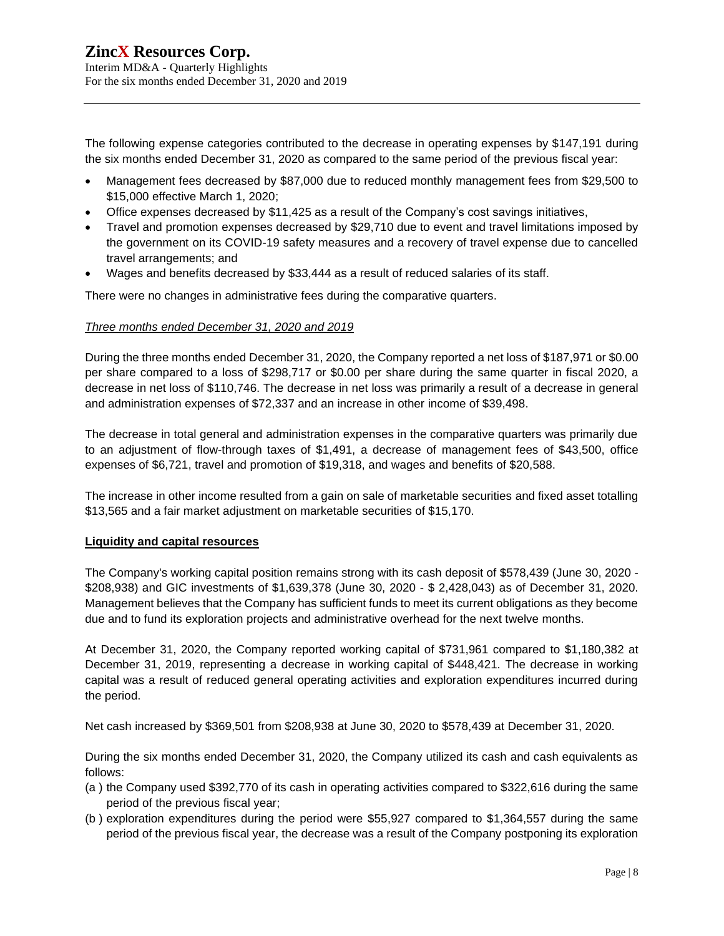The following expense categories contributed to the decrease in operating expenses by \$147,191 during the six months ended December 31, 2020 as compared to the same period of the previous fiscal year:

- Management fees decreased by \$87,000 due to reduced monthly management fees from \$29,500 to \$15,000 effective March 1, 2020;
- Office expenses decreased by \$11,425 as a result of the Company's cost savings initiatives,
- Travel and promotion expenses decreased by \$29,710 due to event and travel limitations imposed by the government on its COVID-19 safety measures and a recovery of travel expense due to cancelled travel arrangements; and
- Wages and benefits decreased by \$33,444 as a result of reduced salaries of its staff.

There were no changes in administrative fees during the comparative quarters.

#### *Three months ended December 31, 2020 and 2019*

During the three months ended December 31, 2020, the Company reported a net loss of \$187,971 or \$0.00 per share compared to a loss of \$298,717 or \$0.00 per share during the same quarter in fiscal 2020, a decrease in net loss of \$110,746. The decrease in net loss was primarily a result of a decrease in general and administration expenses of \$72,337 and an increase in other income of \$39,498.

The decrease in total general and administration expenses in the comparative quarters was primarily due to an adjustment of flow-through taxes of \$1,491, a decrease of management fees of \$43,500, office expenses of \$6,721, travel and promotion of \$19,318, and wages and benefits of \$20,588.

The increase in other income resulted from a gain on sale of marketable securities and fixed asset totalling \$13,565 and a fair market adjustment on marketable securities of \$15,170.

#### **Liquidity and capital resources**

The Company's working capital position remains strong with its cash deposit of \$578,439 (June 30, 2020 - \$208,938) and GIC investments of \$1,639,378 (June 30, 2020 - \$ 2,428,043) as of December 31, 2020. Management believes that the Company has sufficient funds to meet its current obligations as they become due and to fund its exploration projects and administrative overhead for the next twelve months.

At December 31, 2020, the Company reported working capital of \$731,961 compared to \$1,180,382 at December 31, 2019, representing a decrease in working capital of \$448,421. The decrease in working capital was a result of reduced general operating activities and exploration expenditures incurred during the period.

Net cash increased by \$369,501 from \$208,938 at June 30, 2020 to \$578,439 at December 31, 2020.

During the six months ended December 31, 2020, the Company utilized its cash and cash equivalents as follows:

- (a ) the Company used \$392,770 of its cash in operating activities compared to \$322,616 during the same period of the previous fiscal year;
- (b ) exploration expenditures during the period were \$55,927 compared to \$1,364,557 during the same period of the previous fiscal year, the decrease was a result of the Company postponing its exploration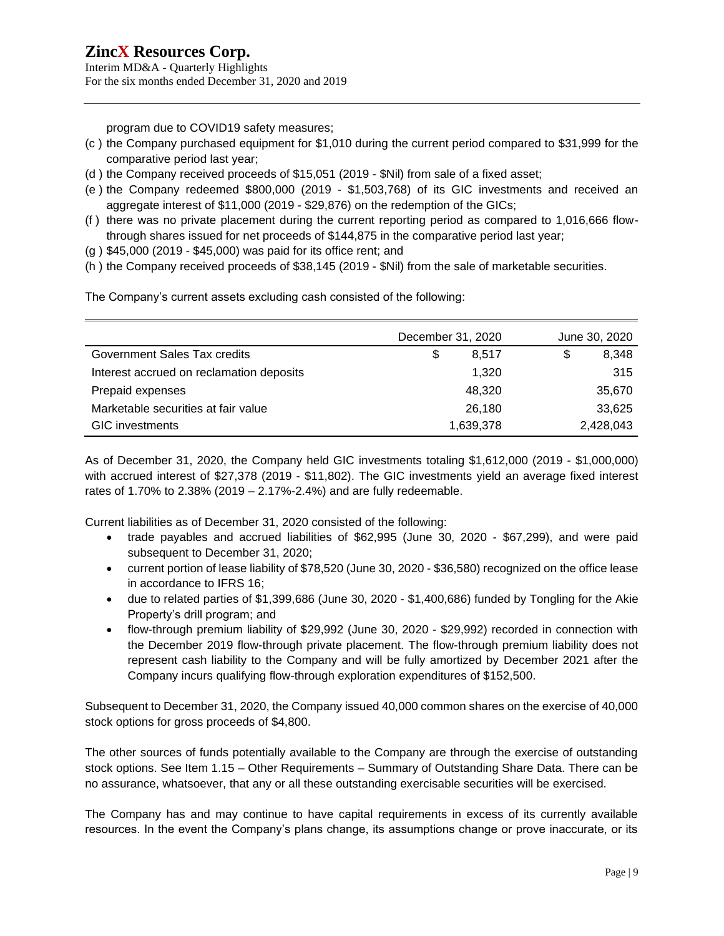Interim MD&A - Quarterly Highlights For the six months ended December 31, 2020 and 2019

program due to COVID19 safety measures;

- (c ) the Company purchased equipment for \$1,010 during the current period compared to \$31,999 for the comparative period last year;
- (d ) the Company received proceeds of \$15,051 (2019 \$Nil) from sale of a fixed asset;
- (e ) the Company redeemed \$800,000 (2019 \$1,503,768) of its GIC investments and received an aggregate interest of \$11,000 (2019 - \$29,876) on the redemption of the GICs;
- (f ) there was no private placement during the current reporting period as compared to 1,016,666 flowthrough shares issued for net proceeds of \$144,875 in the comparative period last year;
- (g ) \$45,000 (2019 \$45,000) was paid for its office rent; and
- (h ) the Company received proceeds of \$38,145 (2019 \$Nil) from the sale of marketable securities.

The Company's current assets excluding cash consisted of the following:

|                                          | December 31, 2020 | June 30, 2020 |
|------------------------------------------|-------------------|---------------|
| Government Sales Tax credits             | S<br>8.517        | 8,348         |
| Interest accrued on reclamation deposits | 1,320             | 315           |
| Prepaid expenses                         | 48,320            | 35,670        |
| Marketable securities at fair value      | 26,180            | 33,625        |
| <b>GIC</b> investments                   | 1,639,378         | 2,428,043     |

As of December 31, 2020, the Company held GIC investments totaling \$1,612,000 (2019 - \$1,000,000) with accrued interest of \$27,378 (2019 - \$11,802). The GIC investments yield an average fixed interest rates of 1.70% to 2.38% (2019 – 2.17%-2.4%) and are fully redeemable.

Current liabilities as of December 31, 2020 consisted of the following:

- trade payables and accrued liabilities of \$62,995 (June 30, 2020 \$67,299), and were paid subsequent to December 31, 2020;
- current portion of lease liability of \$78,520 (June 30, 2020 \$36,580) recognized on the office lease in accordance to IFRS 16;
- due to related parties of \$1,399,686 (June 30, 2020 \$1,400,686) funded by Tongling for the Akie Property's drill program; and
- flow-through premium liability of \$29,992 (June 30, 2020 \$29,992) recorded in connection with the December 2019 flow-through private placement. The flow-through premium liability does not represent cash liability to the Company and will be fully amortized by December 2021 after the Company incurs qualifying flow-through exploration expenditures of \$152,500.

Subsequent to December 31, 2020, the Company issued 40,000 common shares on the exercise of 40,000 stock options for gross proceeds of \$4,800.

The other sources of funds potentially available to the Company are through the exercise of outstanding stock options. See Item 1.15 – Other Requirements – Summary of Outstanding Share Data. There can be no assurance, whatsoever, that any or all these outstanding exercisable securities will be exercised.

The Company has and may continue to have capital requirements in excess of its currently available resources. In the event the Company's plans change, its assumptions change or prove inaccurate, or its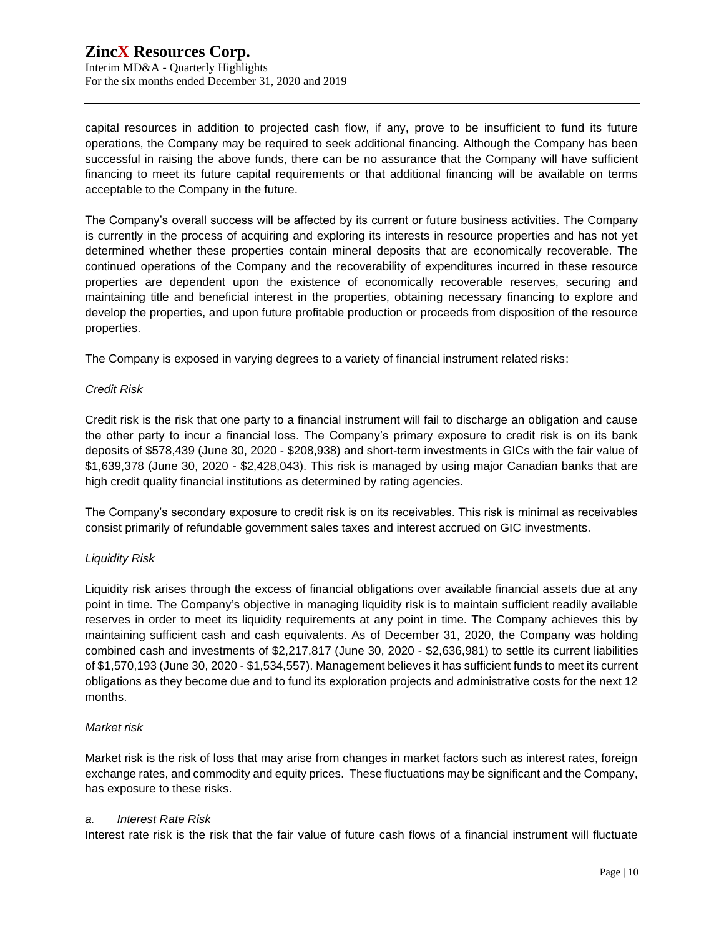# **ZincX Resources Corp.** Interim MD&A - Quarterly Highlights For the six months ended December 31, 2020 and 2019

capital resources in addition to projected cash flow, if any, prove to be insufficient to fund its future operations, the Company may be required to seek additional financing. Although the Company has been successful in raising the above funds, there can be no assurance that the Company will have sufficient financing to meet its future capital requirements or that additional financing will be available on terms acceptable to the Company in the future.

The Company's overall success will be affected by its current or future business activities. The Company is currently in the process of acquiring and exploring its interests in resource properties and has not yet determined whether these properties contain mineral deposits that are economically recoverable. The continued operations of the Company and the recoverability of expenditures incurred in these resource properties are dependent upon the existence of economically recoverable reserves, securing and maintaining title and beneficial interest in the properties, obtaining necessary financing to explore and develop the properties, and upon future profitable production or proceeds from disposition of the resource properties.

The Company is exposed in varying degrees to a variety of financial instrument related risks:

## *Credit Risk*

Credit risk is the risk that one party to a financial instrument will fail to discharge an obligation and cause the other party to incur a financial loss. The Company's primary exposure to credit risk is on its bank deposits of \$578,439 (June 30, 2020 - \$208,938) and short-term investments in GICs with the fair value of \$1,639,378 (June 30, 2020 - \$2,428,043). This risk is managed by using major Canadian banks that are high credit quality financial institutions as determined by rating agencies.

The Company's secondary exposure to credit risk is on its receivables. This risk is minimal as receivables consist primarily of refundable government sales taxes and interest accrued on GIC investments.

# *Liquidity Risk*

Liquidity risk arises through the excess of financial obligations over available financial assets due at any point in time. The Company's objective in managing liquidity risk is to maintain sufficient readily available reserves in order to meet its liquidity requirements at any point in time. The Company achieves this by maintaining sufficient cash and cash equivalents. As of December 31, 2020, the Company was holding combined cash and investments of \$2,217,817 (June 30, 2020 - \$2,636,981) to settle its current liabilities of \$1,570,193 (June 30, 2020 - \$1,534,557). Management believes it has sufficient funds to meet its current obligations as they become due and to fund its exploration projects and administrative costs for the next 12 months.

#### *Market risk*

Market risk is the risk of loss that may arise from changes in market factors such as interest rates, foreign exchange rates, and commodity and equity prices. These fluctuations may be significant and the Company, has exposure to these risks.

#### *a. Interest Rate Risk*

Interest rate risk is the risk that the fair value of future cash flows of a financial instrument will fluctuate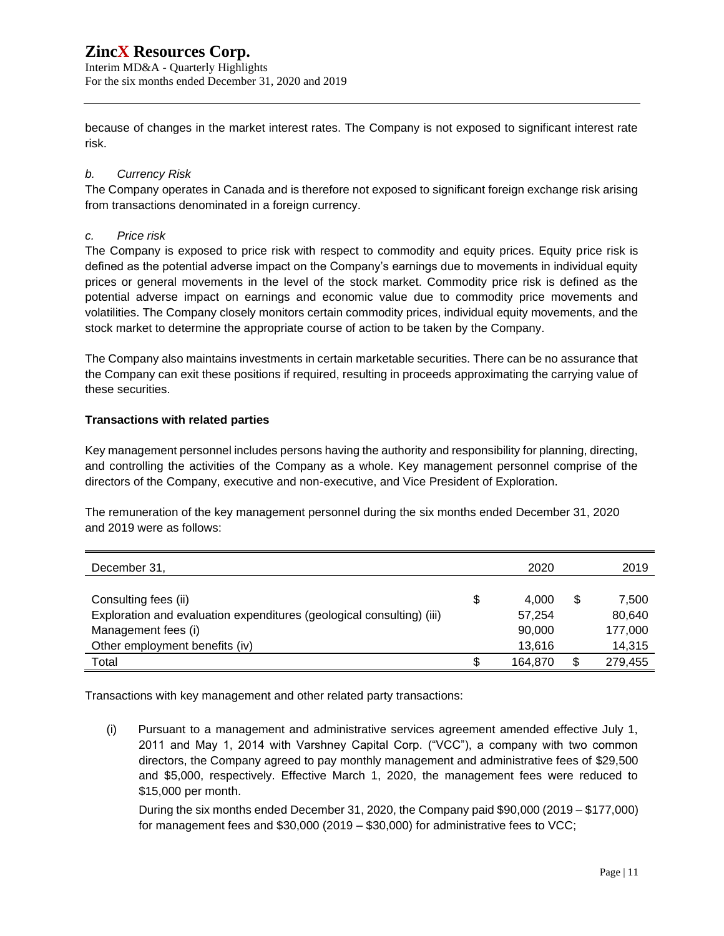Interim MD&A - Quarterly Highlights For the six months ended December 31, 2020 and 2019

because of changes in the market interest rates. The Company is not exposed to significant interest rate risk.

## *b. Currency Risk*

The Company operates in Canada and is therefore not exposed to significant foreign exchange risk arising from transactions denominated in a foreign currency.

## *c. Price risk*

The Company is exposed to price risk with respect to commodity and equity prices. Equity price risk is defined as the potential adverse impact on the Company's earnings due to movements in individual equity prices or general movements in the level of the stock market. Commodity price risk is defined as the potential adverse impact on earnings and economic value due to commodity price movements and volatilities. The Company closely monitors certain commodity prices, individual equity movements, and the stock market to determine the appropriate course of action to be taken by the Company.

The Company also maintains investments in certain marketable securities. There can be no assurance that the Company can exit these positions if required, resulting in proceeds approximating the carrying value of these securities.

## **Transactions with related parties**

Key management personnel includes persons having the authority and responsibility for planning, directing, and controlling the activities of the Company as a whole. Key management personnel comprise of the directors of the Company, executive and non-executive, and Vice President of Exploration.

The remuneration of the key management personnel during the six months ended December 31, 2020 and 2019 were as follows:

| December 31,                                                          | 2020        |   | 2019    |
|-----------------------------------------------------------------------|-------------|---|---------|
|                                                                       |             |   |         |
| Consulting fees (ii)                                                  | \$<br>4.000 | S | 7,500   |
| Exploration and evaluation expenditures (geological consulting) (iii) | 57.254      |   | 80,640  |
| Management fees (i)                                                   | 90,000      |   | 177,000 |
| Other employment benefits (iv)                                        | 13.616      |   | 14,315  |
| Total                                                                 | 164.870     |   | 279,455 |

Transactions with key management and other related party transactions:

(i) Pursuant to a management and administrative services agreement amended effective July 1, 2011 and May 1, 2014 with Varshney Capital Corp. ("VCC"), a company with two common directors, the Company agreed to pay monthly management and administrative fees of \$29,500 and \$5,000, respectively. Effective March 1, 2020, the management fees were reduced to \$15,000 per month.

During the six months ended December 31, 2020, the Company paid \$90,000 (2019 – \$177,000) for management fees and \$30,000 (2019 – \$30,000) for administrative fees to VCC;